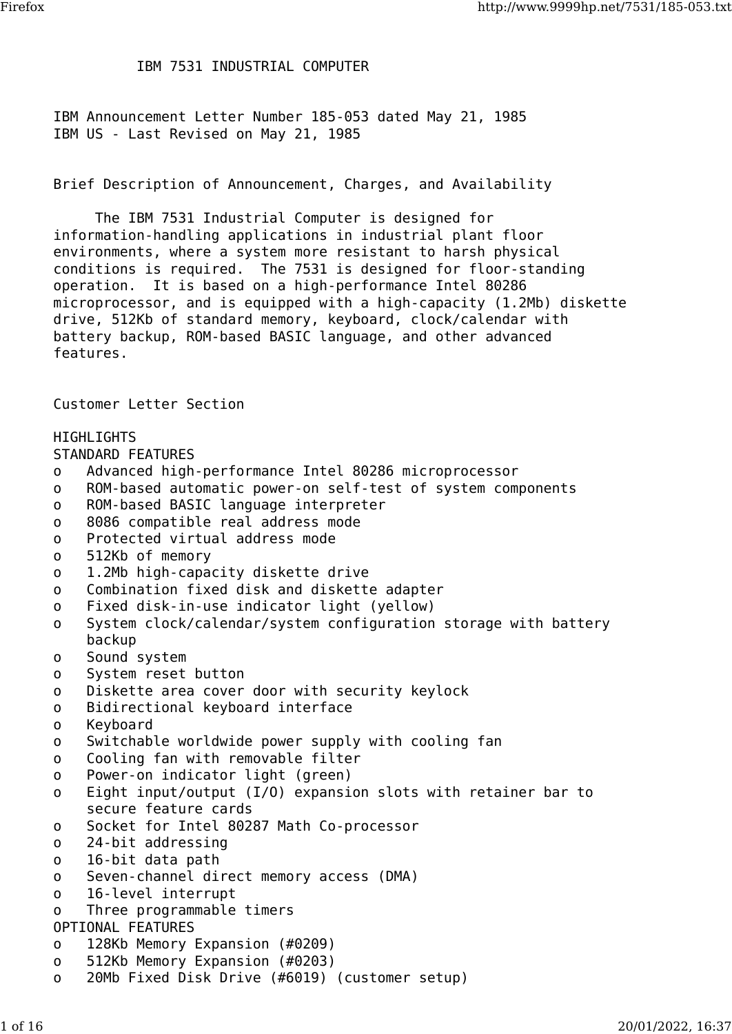## IBM 7531 INDUSTRIAL COMPUTER

IBM Announcement Letter Number 185-053 dated May 21, 1985 IBM US - Last Revised on May 21, 1985

Brief Description of Announcement, Charges, and Availability

 The IBM 7531 Industrial Computer is designed for information-handling applications in industrial plant floor environments, where a system more resistant to harsh physical conditions is required. The 7531 is designed for floor-standing operation. It is based on a high-performance Intel 80286 microprocessor, and is equipped with a high-capacity (1.2Mb) diskette drive, 512Kb of standard memory, keyboard, clock/calendar with battery backup, ROM-based BASIC language, and other advanced features.

Customer Letter Section

HIGHLIGHTS STANDARD FEATURES o Advanced high-performance Intel 80286 microprocessor o ROM-based automatic power-on self-test of system components o ROM-based BASIC language interpreter o 8086 compatible real address mode o Protected virtual address mode o 512Kb of memory o 1.2Mb high-capacity diskette drive o Combination fixed disk and diskette adapter o Fixed disk-in-use indicator light (yellow) o System clock/calendar/system configuration storage with battery backup o Sound system o System reset button o Diskette area cover door with security keylock o Bidirectional keyboard interface o Keyboard o Switchable worldwide power supply with cooling fan o Cooling fan with removable filter o Power-on indicator light (green) o Eight input/output (I/O) expansion slots with retainer bar to secure feature cards o Socket for Intel 80287 Math Co-processor o 24-bit addressing o 16-bit data path o Seven-channel direct memory access (DMA) o 16-level interrupt o Three programmable timers OPTIONAL FEATURES o 128Kb Memory Expansion (#0209) o 512Kb Memory Expansion (#0203) o 20Mb Fixed Disk Drive (#6019) (customer setup)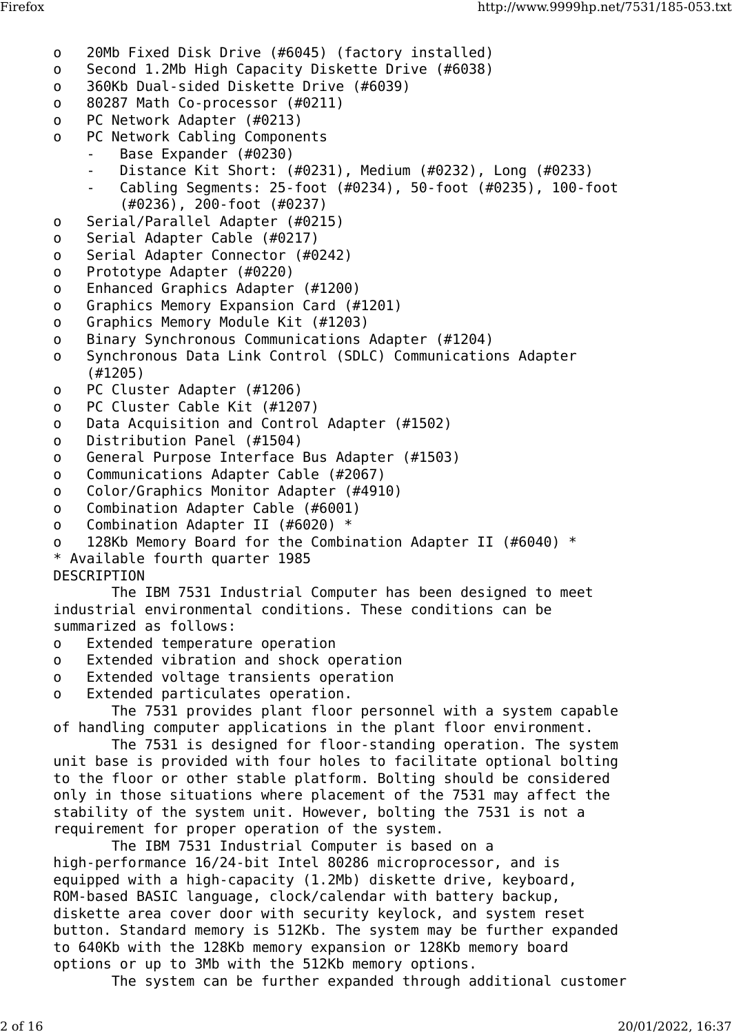- o 20Mb Fixed Disk Drive (#6045) (factory installed)
- o Second 1.2Mb High Capacity Diskette Drive (#6038)
- o 360Kb Dual-sided Diskette Drive (#6039)
- o 80287 Math Co-processor (#0211)
- o PC Network Adapter (#0213)
- o PC Network Cabling Components
	- Base Expander (#0230)
	- Distance Kit Short: (#0231), Medium (#0232), Long (#0233)
	- Cabling Segments: 25-foot (#0234), 50-foot (#0235), 100-foot (#0236), 200-foot (#0237)
- o Serial/Parallel Adapter (#0215)
- o Serial Adapter Cable (#0217)
- o Serial Adapter Connector (#0242)
- o Prototype Adapter (#0220)
- o Enhanced Graphics Adapter (#1200)
- o Graphics Memory Expansion Card (#1201)
- o Graphics Memory Module Kit (#1203)
- o Binary Synchronous Communications Adapter (#1204)
- o Synchronous Data Link Control (SDLC) Communications Adapter (#1205)
- o PC Cluster Adapter (#1206)
- o PC Cluster Cable Kit (#1207)
- o Data Acquisition and Control Adapter (#1502)
- o Distribution Panel (#1504)
- o General Purpose Interface Bus Adapter (#1503)
- o Communications Adapter Cable (#2067)
- o Color/Graphics Monitor Adapter (#4910)
- o Combination Adapter Cable (#6001)
- o Combination Adapter II (#6020) \*
- o 128Kb Memory Board for the Combination Adapter II (#6040) \*
- \* Available fourth quarter 1985

## DESCRIPTION

 The IBM 7531 Industrial Computer has been designed to meet industrial environmental conditions. These conditions can be summarized as follows:

- o Extended temperature operation
- o Extended vibration and shock operation
- o Extended voltage transients operation
- o Extended particulates operation.

 The 7531 provides plant floor personnel with a system capable of handling computer applications in the plant floor environment.

 The 7531 is designed for floor-standing operation. The system unit base is provided with four holes to facilitate optional bolting to the floor or other stable platform. Bolting should be considered only in those situations where placement of the 7531 may affect the stability of the system unit. However, bolting the 7531 is not a requirement for proper operation of the system.

 The IBM 7531 Industrial Computer is based on a high-performance 16/24-bit Intel 80286 microprocessor, and is equipped with a high-capacity (1.2Mb) diskette drive, keyboard, ROM-based BASIC language, clock/calendar with battery backup, diskette area cover door with security keylock, and system reset button. Standard memory is 512Kb. The system may be further expanded to 640Kb with the 128Kb memory expansion or 128Kb memory board options or up to 3Mb with the 512Kb memory options.

The system can be further expanded through additional customer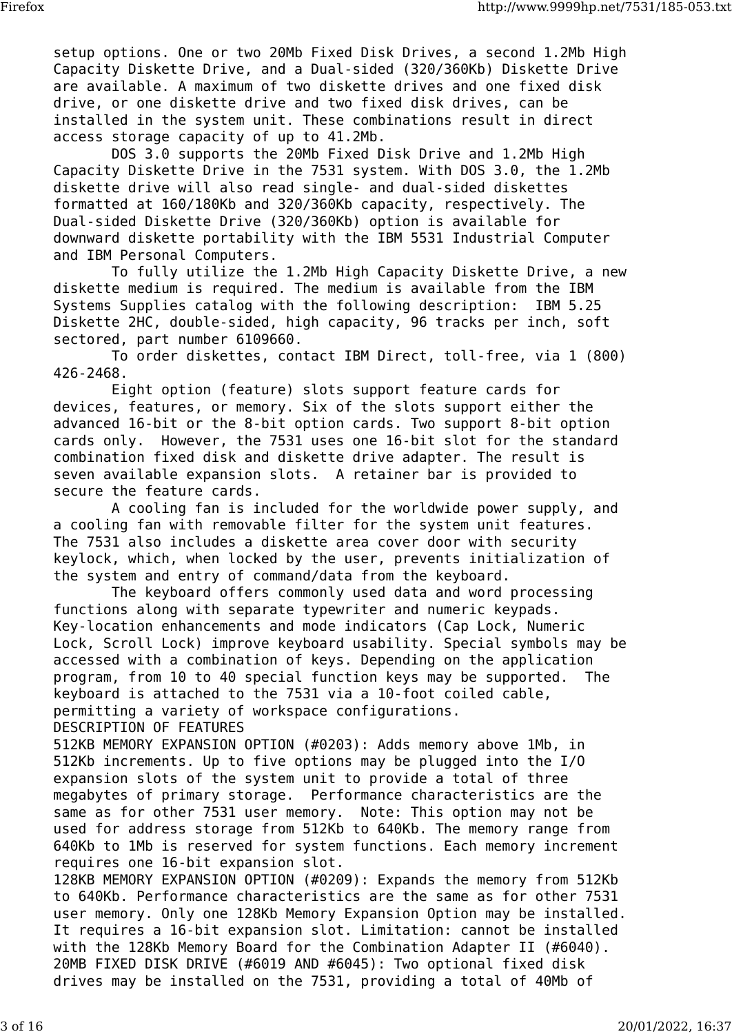setup options. One or two 20Mb Fixed Disk Drives, a second 1.2Mb High Capacity Diskette Drive, and a Dual-sided (320/360Kb) Diskette Drive are available. A maximum of two diskette drives and one fixed disk drive, or one diskette drive and two fixed disk drives, can be installed in the system unit. These combinations result in direct access storage capacity of up to 41.2Mb.

 DOS 3.0 supports the 20Mb Fixed Disk Drive and 1.2Mb High Capacity Diskette Drive in the 7531 system. With DOS 3.0, the 1.2Mb diskette drive will also read single- and dual-sided diskettes formatted at 160/180Kb and 320/360Kb capacity, respectively. The Dual-sided Diskette Drive (320/360Kb) option is available for downward diskette portability with the IBM 5531 Industrial Computer and IBM Personal Computers.

 To fully utilize the 1.2Mb High Capacity Diskette Drive, a new diskette medium is required. The medium is available from the IBM Systems Supplies catalog with the following description: IBM 5.25 Diskette 2HC, double-sided, high capacity, 96 tracks per inch, soft sectored, part number 6109660.

 To order diskettes, contact IBM Direct, toll-free, via 1 (800) 426-2468.

 Eight option (feature) slots support feature cards for devices, features, or memory. Six of the slots support either the advanced 16-bit or the 8-bit option cards. Two support 8-bit option cards only. However, the 7531 uses one 16-bit slot for the standard combination fixed disk and diskette drive adapter. The result is seven available expansion slots. A retainer bar is provided to secure the feature cards.

 A cooling fan is included for the worldwide power supply, and a cooling fan with removable filter for the system unit features. The 7531 also includes a diskette area cover door with security keylock, which, when locked by the user, prevents initialization of the system and entry of command/data from the keyboard.

 The keyboard offers commonly used data and word processing functions along with separate typewriter and numeric keypads. Key-location enhancements and mode indicators (Cap Lock, Numeric Lock, Scroll Lock) improve keyboard usability. Special symbols may be accessed with a combination of keys. Depending on the application program, from 10 to 40 special function keys may be supported. The keyboard is attached to the 7531 via a 10-foot coiled cable, permitting a variety of workspace configurations. DESCRIPTION OF FEATURES

512KB MEMORY EXPANSION OPTION (#0203): Adds memory above 1Mb, in 512Kb increments. Up to five options may be plugged into the I/O expansion slots of the system unit to provide a total of three megabytes of primary storage. Performance characteristics are the same as for other 7531 user memory. Note: This option may not be used for address storage from 512Kb to 640Kb. The memory range from 640Kb to 1Mb is reserved for system functions. Each memory increment requires one 16-bit expansion slot.

128KB MEMORY EXPANSION OPTION (#0209): Expands the memory from 512Kb to 640Kb. Performance characteristics are the same as for other 7531 user memory. Only one 128Kb Memory Expansion Option may be installed. It requires a 16-bit expansion slot. Limitation: cannot be installed with the 128Kb Memory Board for the Combination Adapter II (#6040). 20MB FIXED DISK DRIVE (#6019 AND #6045): Two optional fixed disk drives may be installed on the 7531, providing a total of 40Mb of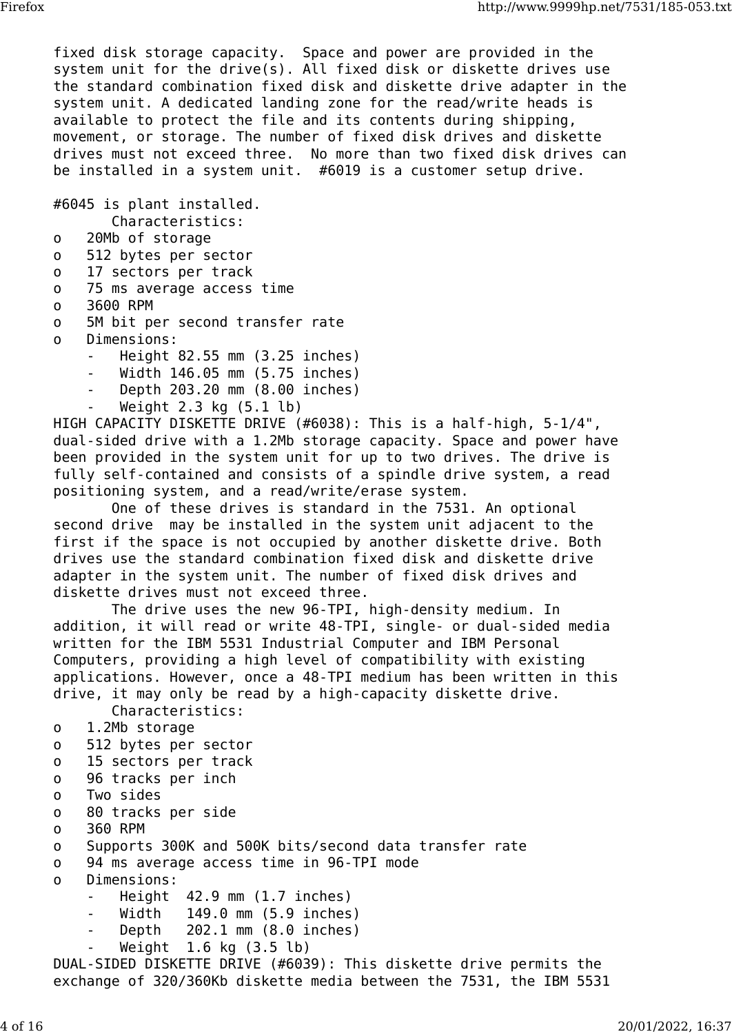fixed disk storage capacity. Space and power are provided in the system unit for the drive(s). All fixed disk or diskette drives use the standard combination fixed disk and diskette drive adapter in the system unit. A dedicated landing zone for the read/write heads is available to protect the file and its contents during shipping, movement, or storage. The number of fixed disk drives and diskette drives must not exceed three. No more than two fixed disk drives can be installed in a system unit. #6019 is a customer setup drive.

#6045 is plant installed.

Characteristics:

- o 20Mb of storage
- o 512 bytes per sector
- o 17 sectors per track
- o 75 ms average access time
- o 3600 RPM
- o 5M bit per second transfer rate
- o Dimensions:
	- Height 82.55 mm (3.25 inches)
	- Width 146.05 mm (5.75 inches)
	- Depth 203.20 mm (8.00 inches)
	- Weight  $2.3$  kg  $(5.1$  lb)

HIGH CAPACITY DISKETTE DRIVE (#6038): This is a half-high, 5-1/4", dual-sided drive with a 1.2Mb storage capacity. Space and power have been provided in the system unit for up to two drives. The drive is fully self-contained and consists of a spindle drive system, a read positioning system, and a read/write/erase system.

 One of these drives is standard in the 7531. An optional second drive may be installed in the system unit adjacent to the first if the space is not occupied by another diskette drive. Both drives use the standard combination fixed disk and diskette drive adapter in the system unit. The number of fixed disk drives and diskette drives must not exceed three.

 The drive uses the new 96-TPI, high-density medium. In addition, it will read or write 48-TPI, single- or dual-sided media written for the IBM 5531 Industrial Computer and IBM Personal Computers, providing a high level of compatibility with existing applications. However, once a 48-TPI medium has been written in this drive, it may only be read by a high-capacity diskette drive.

Characteristics:

- o 1.2Mb storage
- o 512 bytes per sector
- o 15 sectors per track
- o 96 tracks per inch
- o Two sides
- o 80 tracks per side
- o 360 RPM
- o Supports 300K and 500K bits/second data transfer rate
- o 94 ms average access time in 96-TPI mode
- o Dimensions:
	- $Height$  42.9 mm  $(1.7$  inches)
	- Width 149.0 mm (5.9 inches)
	- Depth 202.1 mm (8.0 inches)
	- Weight 1.6 kg (3.5 lb)

DUAL-SIDED DISKETTE DRIVE (#6039): This diskette drive permits the exchange of 320/360Kb diskette media between the 7531, the IBM 5531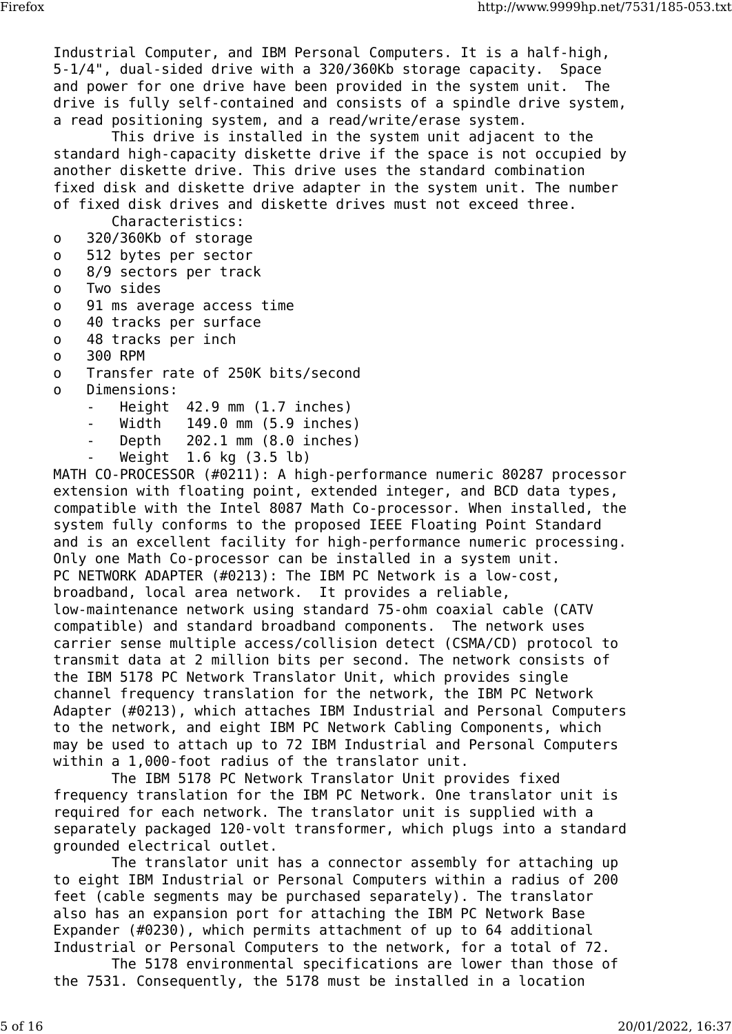Industrial Computer, and IBM Personal Computers. It is a half-high, 5-1/4", dual-sided drive with a 320/360Kb storage capacity. Space and power for one drive have been provided in the system unit. The drive is fully self-contained and consists of a spindle drive system, a read positioning system, and a read/write/erase system.

 This drive is installed in the system unit adjacent to the standard high-capacity diskette drive if the space is not occupied by another diskette drive. This drive uses the standard combination fixed disk and diskette drive adapter in the system unit. The number of fixed disk drives and diskette drives must not exceed three.

Characteristics:

- o 320/360Kb of storage
- o 512 bytes per sector
- o 8/9 sectors per track
- o Two sides
- o 91 ms average access time
- o 40 tracks per surface
- o 48 tracks per inch
- o 300 RPM
- o Transfer rate of 250K bits/second
- o Dimensions:
	- $Height$   $42.9$  mm  $(1.7$  inches)
	- Width 149.0 mm (5.9 inches)
	- Depth  $202.1$  mm  $(8.0$  inches)
	- Weight 1.6 kg (3.5 lb)

MATH CO-PROCESSOR (#0211): A high-performance numeric 80287 processor extension with floating point, extended integer, and BCD data types, compatible with the Intel 8087 Math Co-processor. When installed, the system fully conforms to the proposed IEEE Floating Point Standard and is an excellent facility for high-performance numeric processing. Only one Math Co-processor can be installed in a system unit. PC NETWORK ADAPTER (#0213): The IBM PC Network is a low-cost, broadband, local area network. It provides a reliable, low-maintenance network using standard 75-ohm coaxial cable (CATV compatible) and standard broadband components. The network uses carrier sense multiple access/collision detect (CSMA/CD) protocol to transmit data at 2 million bits per second. The network consists of the IBM 5178 PC Network Translator Unit, which provides single channel frequency translation for the network, the IBM PC Network Adapter (#0213), which attaches IBM Industrial and Personal Computers to the network, and eight IBM PC Network Cabling Components, which may be used to attach up to 72 IBM Industrial and Personal Computers within a 1,000-foot radius of the translator unit.

 The IBM 5178 PC Network Translator Unit provides fixed frequency translation for the IBM PC Network. One translator unit is required for each network. The translator unit is supplied with a separately packaged 120-volt transformer, which plugs into a standard grounded electrical outlet.

 The translator unit has a connector assembly for attaching up to eight IBM Industrial or Personal Computers within a radius of 200 feet (cable segments may be purchased separately). The translator also has an expansion port for attaching the IBM PC Network Base Expander (#0230), which permits attachment of up to 64 additional Industrial or Personal Computers to the network, for a total of 72.

 The 5178 environmental specifications are lower than those of the 7531. Consequently, the 5178 must be installed in a location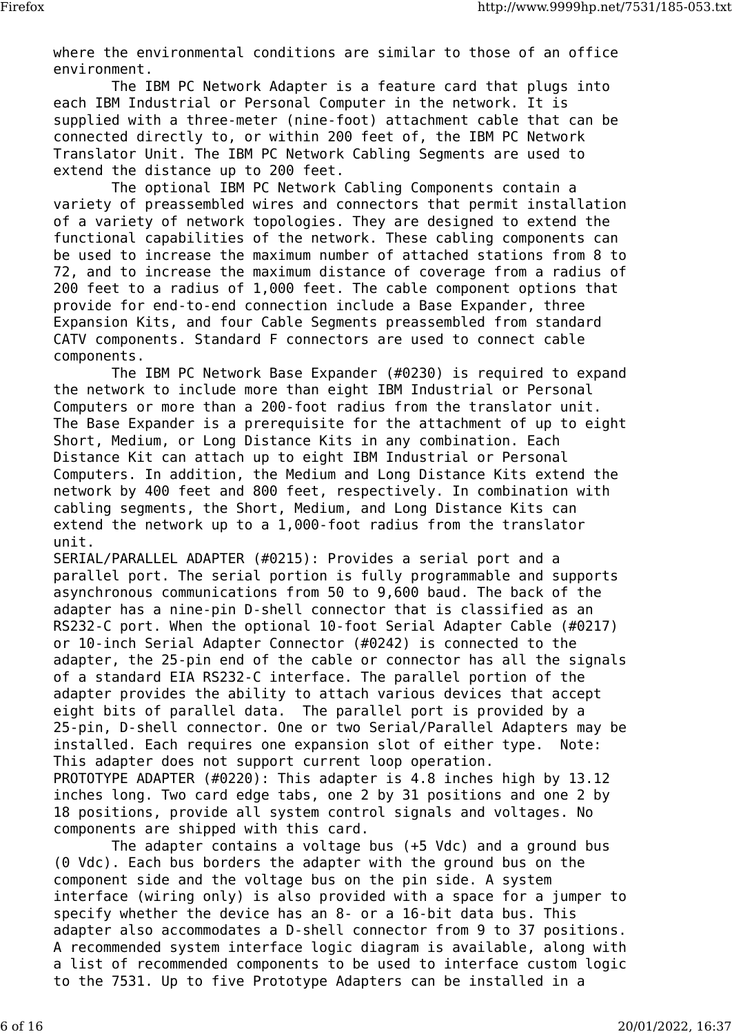where the environmental conditions are similar to those of an office environment.

 The IBM PC Network Adapter is a feature card that plugs into each IBM Industrial or Personal Computer in the network. It is supplied with a three-meter (nine-foot) attachment cable that can be connected directly to, or within 200 feet of, the IBM PC Network Translator Unit. The IBM PC Network Cabling Segments are used to extend the distance up to 200 feet.

 The optional IBM PC Network Cabling Components contain a variety of preassembled wires and connectors that permit installation of a variety of network topologies. They are designed to extend the functional capabilities of the network. These cabling components can be used to increase the maximum number of attached stations from 8 to 72, and to increase the maximum distance of coverage from a radius of 200 feet to a radius of 1,000 feet. The cable component options that provide for end-to-end connection include a Base Expander, three Expansion Kits, and four Cable Segments preassembled from standard CATV components. Standard F connectors are used to connect cable components.

 The IBM PC Network Base Expander (#0230) is required to expand the network to include more than eight IBM Industrial or Personal Computers or more than a 200-foot radius from the translator unit. The Base Expander is a prerequisite for the attachment of up to eight Short, Medium, or Long Distance Kits in any combination. Each Distance Kit can attach up to eight IBM Industrial or Personal Computers. In addition, the Medium and Long Distance Kits extend the network by 400 feet and 800 feet, respectively. In combination with cabling segments, the Short, Medium, and Long Distance Kits can extend the network up to a 1,000-foot radius from the translator unit.

SERIAL/PARALLEL ADAPTER (#0215): Provides a serial port and a parallel port. The serial portion is fully programmable and supports asynchronous communications from 50 to 9,600 baud. The back of the adapter has a nine-pin D-shell connector that is classified as an RS232-C port. When the optional 10-foot Serial Adapter Cable (#0217) or 10-inch Serial Adapter Connector (#0242) is connected to the adapter, the 25-pin end of the cable or connector has all the signals of a standard EIA RS232-C interface. The parallel portion of the adapter provides the ability to attach various devices that accept eight bits of parallel data. The parallel port is provided by a 25-pin, D-shell connector. One or two Serial/Parallel Adapters may be installed. Each requires one expansion slot of either type. Note: This adapter does not support current loop operation. PROTOTYPE ADAPTER (#0220): This adapter is 4.8 inches high by 13.12 inches long. Two card edge tabs, one 2 by 31 positions and one 2 by 18 positions, provide all system control signals and voltages. No components are shipped with this card.

 The adapter contains a voltage bus (+5 Vdc) and a ground bus (0 Vdc). Each bus borders the adapter with the ground bus on the component side and the voltage bus on the pin side. A system interface (wiring only) is also provided with a space for a jumper to specify whether the device has an 8- or a 16-bit data bus. This adapter also accommodates a D-shell connector from 9 to 37 positions. A recommended system interface logic diagram is available, along with a list of recommended components to be used to interface custom logic to the 7531. Up to five Prototype Adapters can be installed in a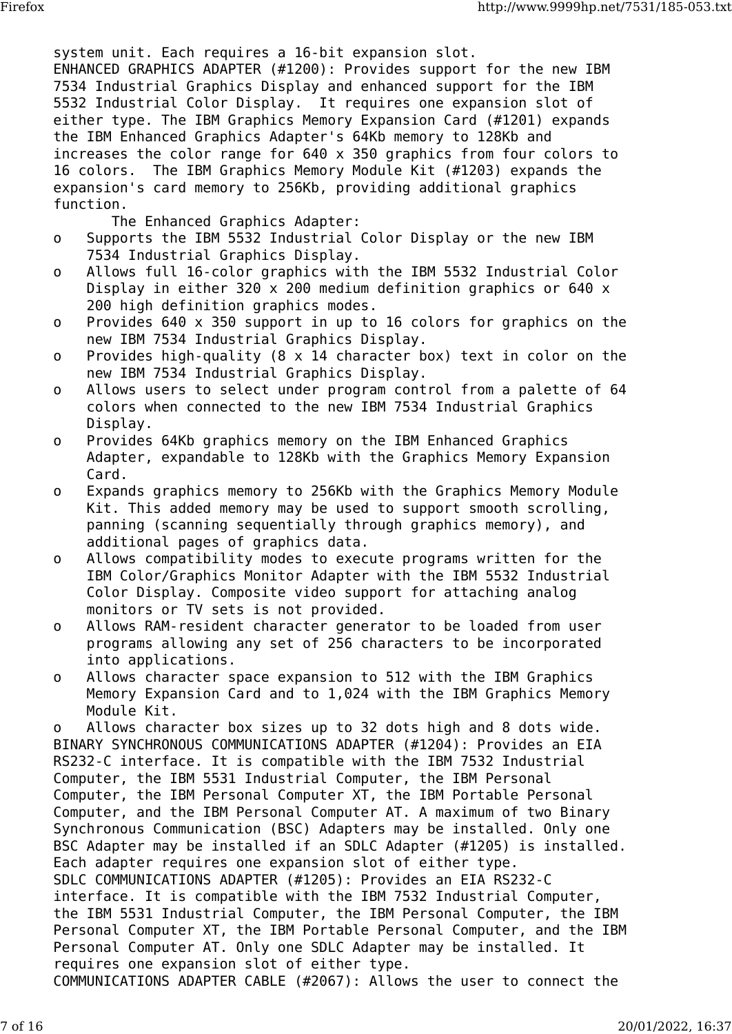system unit. Each requires a 16-bit expansion slot. ENHANCED GRAPHICS ADAPTER (#1200): Provides support for the new IBM 7534 Industrial Graphics Display and enhanced support for the IBM 5532 Industrial Color Display. It requires one expansion slot of either type. The IBM Graphics Memory Expansion Card (#1201) expands the IBM Enhanced Graphics Adapter's 64Kb memory to 128Kb and increases the color range for 640 x 350 graphics from four colors to 16 colors. The IBM Graphics Memory Module Kit (#1203) expands the expansion's card memory to 256Kb, providing additional graphics function.

The Enhanced Graphics Adapter:

- o Supports the IBM 5532 Industrial Color Display or the new IBM 7534 Industrial Graphics Display.
- o Allows full 16-color graphics with the IBM 5532 Industrial Color Display in either 320 x 200 medium definition graphics or 640 x 200 high definition graphics modes.
- o Provides 640 x 350 support in up to 16 colors for graphics on the new IBM 7534 Industrial Graphics Display.
- o Provides high-quality (8 x 14 character box) text in color on the new IBM 7534 Industrial Graphics Display.
- o Allows users to select under program control from a palette of 64 colors when connected to the new IBM 7534 Industrial Graphics Display.
- o Provides 64Kb graphics memory on the IBM Enhanced Graphics Adapter, expandable to 128Kb with the Graphics Memory Expansion Card.
- o Expands graphics memory to 256Kb with the Graphics Memory Module Kit. This added memory may be used to support smooth scrolling, panning (scanning sequentially through graphics memory), and additional pages of graphics data.
- o Allows compatibility modes to execute programs written for the IBM Color/Graphics Monitor Adapter with the IBM 5532 Industrial Color Display. Composite video support for attaching analog monitors or TV sets is not provided.
- o Allows RAM-resident character generator to be loaded from user programs allowing any set of 256 characters to be incorporated into applications.
- o Allows character space expansion to 512 with the IBM Graphics Memory Expansion Card and to 1,024 with the IBM Graphics Memory Module Kit.

o Allows character box sizes up to 32 dots high and 8 dots wide. BINARY SYNCHRONOUS COMMUNICATIONS ADAPTER (#1204): Provides an EIA RS232-C interface. It is compatible with the IBM 7532 Industrial Computer, the IBM 5531 Industrial Computer, the IBM Personal Computer, the IBM Personal Computer XT, the IBM Portable Personal Computer, and the IBM Personal Computer AT. A maximum of two Binary Synchronous Communication (BSC) Adapters may be installed. Only one BSC Adapter may be installed if an SDLC Adapter (#1205) is installed. Each adapter requires one expansion slot of either type. SDLC COMMUNICATIONS ADAPTER (#1205): Provides an EIA RS232-C interface. It is compatible with the IBM 7532 Industrial Computer, the IBM 5531 Industrial Computer, the IBM Personal Computer, the IBM Personal Computer XT, the IBM Portable Personal Computer, and the IBM Personal Computer AT. Only one SDLC Adapter may be installed. It requires one expansion slot of either type. COMMUNICATIONS ADAPTER CABLE (#2067): Allows the user to connect the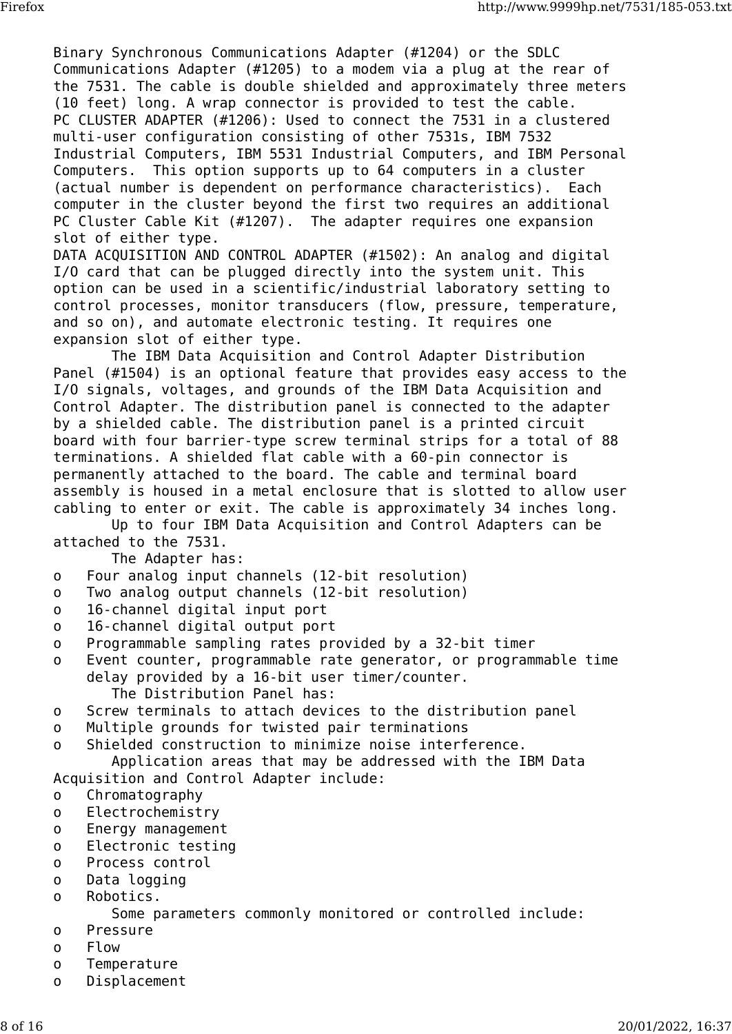Binary Synchronous Communications Adapter (#1204) or the SDLC Communications Adapter (#1205) to a modem via a plug at the rear of the 7531. The cable is double shielded and approximately three meters (10 feet) long. A wrap connector is provided to test the cable. PC CLUSTER ADAPTER (#1206): Used to connect the 7531 in a clustered multi-user configuration consisting of other 7531s, IBM 7532 Industrial Computers, IBM 5531 Industrial Computers, and IBM Personal Computers. This option supports up to 64 computers in a cluster (actual number is dependent on performance characteristics). Each computer in the cluster beyond the first two requires an additional PC Cluster Cable Kit (#1207). The adapter requires one expansion slot of either type.

DATA ACQUISITION AND CONTROL ADAPTER (#1502): An analog and digital I/O card that can be plugged directly into the system unit. This option can be used in a scientific/industrial laboratory setting to control processes, monitor transducers (flow, pressure, temperature, and so on), and automate electronic testing. It requires one expansion slot of either type.

 The IBM Data Acquisition and Control Adapter Distribution Panel (#1504) is an optional feature that provides easy access to the I/O signals, voltages, and grounds of the IBM Data Acquisition and Control Adapter. The distribution panel is connected to the adapter by a shielded cable. The distribution panel is a printed circuit board with four barrier-type screw terminal strips for a total of 88 terminations. A shielded flat cable with a 60-pin connector is permanently attached to the board. The cable and terminal board assembly is housed in a metal enclosure that is slotted to allow user cabling to enter or exit. The cable is approximately 34 inches long.

 Up to four IBM Data Acquisition and Control Adapters can be attached to the 7531.

The Adapter has:

- o Four analog input channels (12-bit resolution)
- o Two analog output channels (12-bit resolution)
- o 16-channel digital input port
- o 16-channel digital output port
- o Programmable sampling rates provided by a 32-bit timer
- o Event counter, programmable rate generator, or programmable time delay provided by a 16-bit user timer/counter. The Distribution Panel has:
- o Screw terminals to attach devices to the distribution panel
- o Multiple grounds for twisted pair terminations
- o Shielded construction to minimize noise interference.

 Application areas that may be addressed with the IBM Data Acquisition and Control Adapter include:

- o Chromatography
- o Electrochemistry
- o Energy management
- o Electronic testing
- o Process control
- o Data logging
- o Robotics.

Some parameters commonly monitored or controlled include:

- o Pressure
- o Flow
- o Temperature
- o Displacement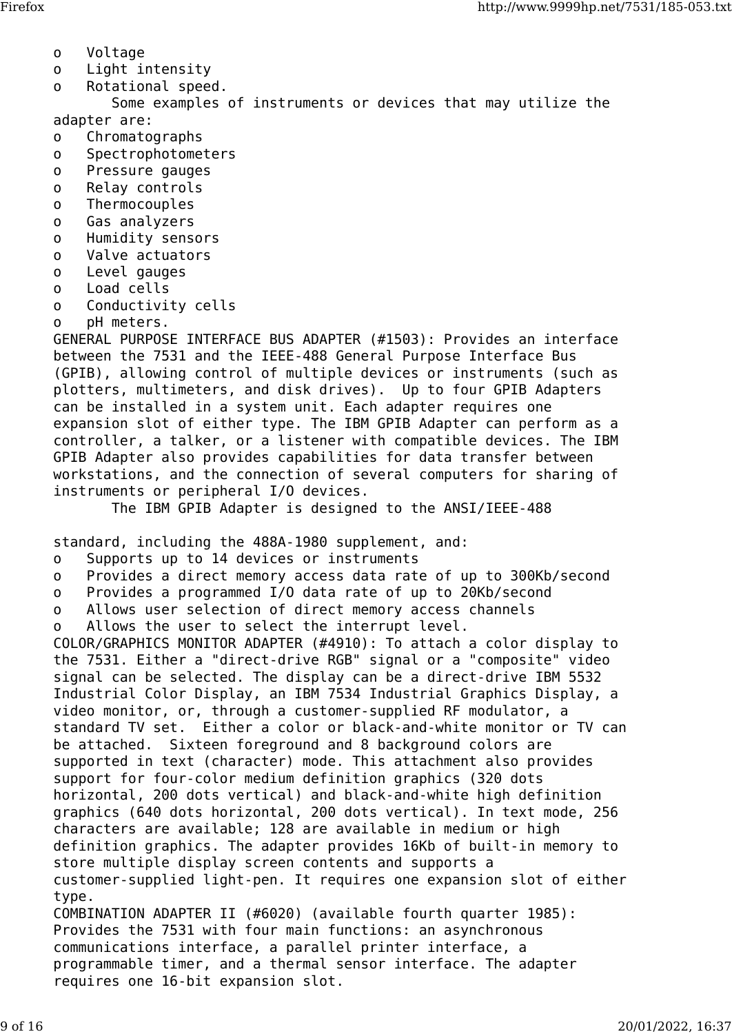- o Voltage
- o Light intensity
- o Rotational speed.

 Some examples of instruments or devices that may utilize the adapter are:

- o Chromatographs
- o Spectrophotometers
- o Pressure gauges
- o Relay controls
- o Thermocouples
- o Gas analyzers
- o Humidity sensors
- o Valve actuators
- o Level gauges
- o Load cells
- o Conductivity cells
- o pH meters.

GENERAL PURPOSE INTERFACE BUS ADAPTER (#1503): Provides an interface between the 7531 and the IEEE-488 General Purpose Interface Bus (GPIB), allowing control of multiple devices or instruments (such as plotters, multimeters, and disk drives). Up to four GPIB Adapters can be installed in a system unit. Each adapter requires one expansion slot of either type. The IBM GPIB Adapter can perform as a controller, a talker, or a listener with compatible devices. The IBM GPIB Adapter also provides capabilities for data transfer between workstations, and the connection of several computers for sharing of instruments or peripheral I/O devices.

The IBM GPIB Adapter is designed to the ANSI/IEEE-488

standard, including the 488A-1980 supplement, and:

o Supports up to 14 devices or instruments

requires one 16-bit expansion slot.

- o Provides a direct memory access data rate of up to 300Kb/second
- o Provides a programmed I/O data rate of up to 20Kb/second
- o Allows user selection of direct memory access channels

o Allows the user to select the interrupt level.

COLOR/GRAPHICS MONITOR ADAPTER (#4910): To attach a color display to the 7531. Either a "direct-drive RGB" signal or a "composite" video signal can be selected. The display can be a direct-drive IBM 5532 Industrial Color Display, an IBM 7534 Industrial Graphics Display, a video monitor, or, through a customer-supplied RF modulator, a standard TV set. Either a color or black-and-white monitor or TV can be attached. Sixteen foreground and 8 background colors are supported in text (character) mode. This attachment also provides support for four-color medium definition graphics (320 dots horizontal, 200 dots vertical) and black-and-white high definition graphics (640 dots horizontal, 200 dots vertical). In text mode, 256 characters are available; 128 are available in medium or high definition graphics. The adapter provides 16Kb of built-in memory to store multiple display screen contents and supports a customer-supplied light-pen. It requires one expansion slot of either type. COMBINATION ADAPTER II (#6020) (available fourth quarter 1985): Provides the 7531 with four main functions: an asynchronous communications interface, a parallel printer interface, a programmable timer, and a thermal sensor interface. The adapter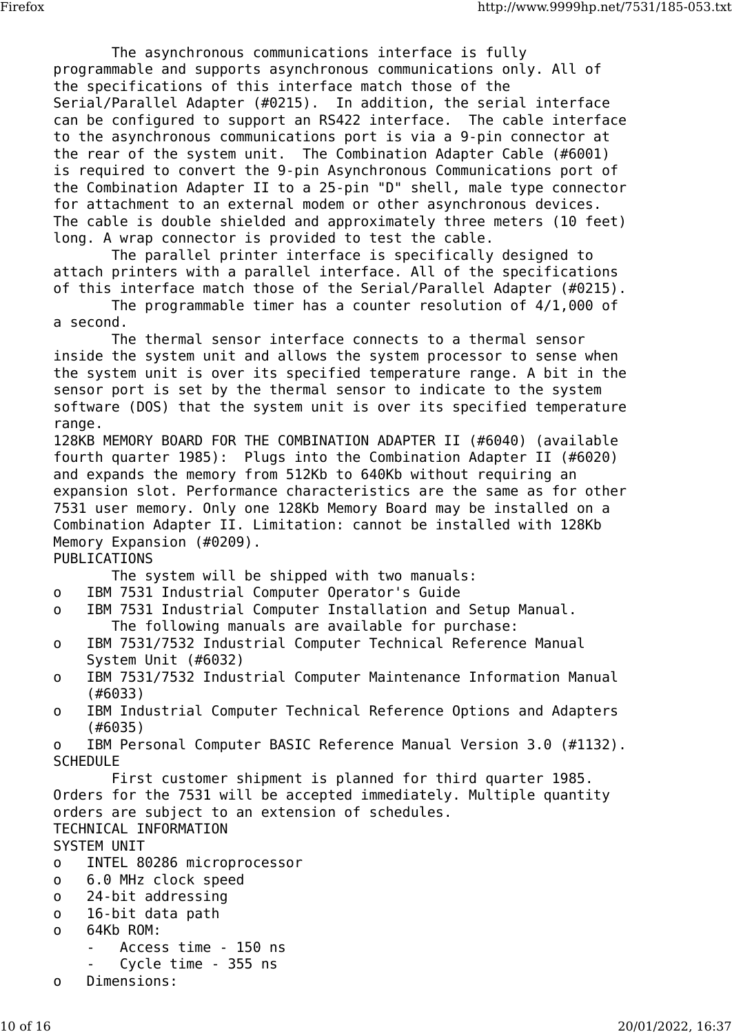The asynchronous communications interface is fully programmable and supports asynchronous communications only. All of the specifications of this interface match those of the Serial/Parallel Adapter (#0215). In addition, the serial interface can be configured to support an RS422 interface. The cable interface to the asynchronous communications port is via a 9-pin connector at the rear of the system unit. The Combination Adapter Cable (#6001) is required to convert the 9-pin Asynchronous Communications port of the Combination Adapter II to a 25-pin "D" shell, male type connector for attachment to an external modem or other asynchronous devices. The cable is double shielded and approximately three meters (10 feet) long. A wrap connector is provided to test the cable.

 The parallel printer interface is specifically designed to attach printers with a parallel interface. All of the specifications of this interface match those of the Serial/Parallel Adapter (#0215).

 The programmable timer has a counter resolution of 4/1,000 of a second.

 The thermal sensor interface connects to a thermal sensor inside the system unit and allows the system processor to sense when the system unit is over its specified temperature range. A bit in the sensor port is set by the thermal sensor to indicate to the system software (DOS) that the system unit is over its specified temperature range.

128KB MEMORY BOARD FOR THE COMBINATION ADAPTER II (#6040) (available fourth quarter 1985): Plugs into the Combination Adapter II (#6020) and expands the memory from 512Kb to 640Kb without requiring an expansion slot. Performance characteristics are the same as for other 7531 user memory. Only one 128Kb Memory Board may be installed on a Combination Adapter II. Limitation: cannot be installed with 128Kb Memory Expansion (#0209).

## PUBLICATIONS

The system will be shipped with two manuals:

- o IBM 7531 Industrial Computer Operator's Guide
- o IBM 7531 Industrial Computer Installation and Setup Manual. The following manuals are available for purchase:
- o IBM 7531/7532 Industrial Computer Technical Reference Manual System Unit (#6032)
- o IBM 7531/7532 Industrial Computer Maintenance Information Manual (#6033)
- o IBM Industrial Computer Technical Reference Options and Adapters (#6035)

o IBM Personal Computer BASIC Reference Manual Version 3.0 (#1132). **SCHEDULE** 

 First customer shipment is planned for third quarter 1985. Orders for the 7531 will be accepted immediately. Multiple quantity orders are subject to an extension of schedules. TECHNICAL INFORMATION

SYSTEM UNIT

- o INTEL 80286 microprocessor
- o 6.0 MHz clock speed
- o 24-bit addressing
- o 16-bit data path
- o 64Kb ROM:
	- Access time 150 ns
	- Cycle time 355 ns
- o Dimensions: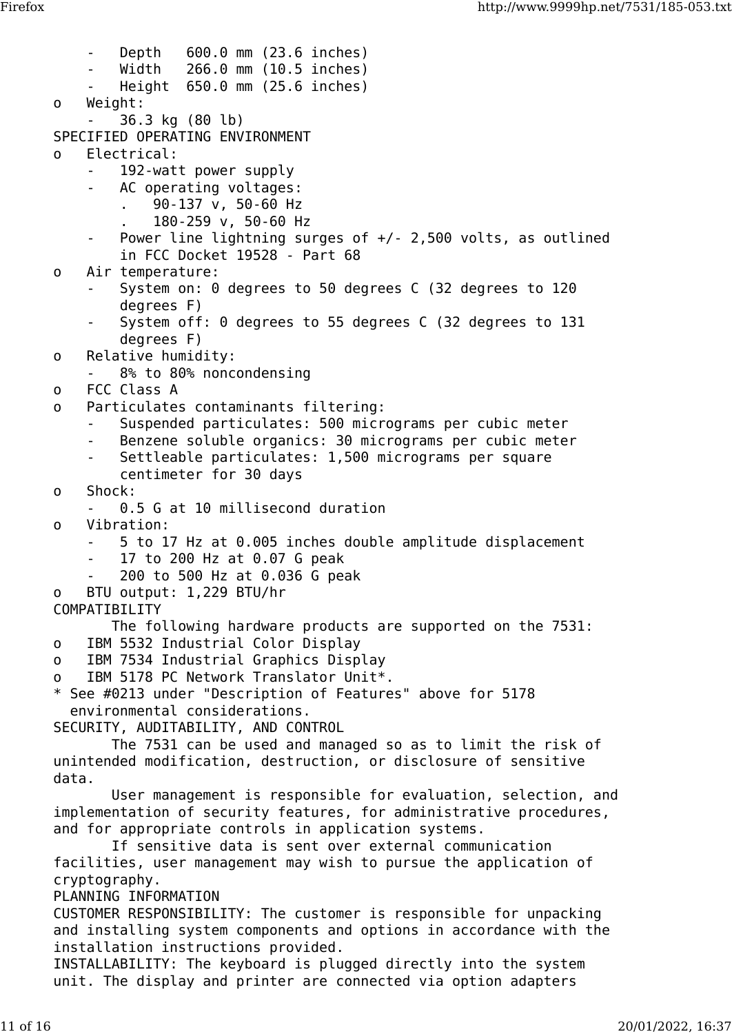- Depth 600.0 mm (23.6 inches) - Width 266.0 mm (10.5 inches) Height 650.0 mm (25.6 inches) o Weight: - 36.3 kg (80 lb) SPECIFIED OPERATING ENVIRONMENT o Electrical: 192-watt power supply - AC operating voltages: . 90-137 v, 50-60 Hz . 180-259 v, 50-60 Hz Power line lightning surges of  $+/$ - 2,500 volts, as outlined in FCC Docket 19528 - Part 68 o Air temperature: - System on: 0 degrees to 50 degrees C (32 degrees to 120 degrees F) System off: 0 degrees to 55 degrees C (32 degrees to 131 degrees F) o Relative humidity: 8% to 80% noncondensing o FCC Class A o Particulates contaminants filtering: Suspended particulates: 500 micrograms per cubic meter Benzene soluble organics: 30 micrograms per cubic meter Settleable particulates: 1,500 micrograms per square centimeter for 30 days o Shock: 0.5 G at 10 millisecond duration o Vibration: - 5 to 17 Hz at 0.005 inches double amplitude displacement - 17 to 200 Hz at 0.07 G peak - 200 to 500 Hz at 0.036 G peak o BTU output: 1,229 BTU/hr COMPATIBILITY The following hardware products are supported on the 7531: o IBM 5532 Industrial Color Display o IBM 7534 Industrial Graphics Display o IBM 5178 PC Network Translator Unit\*. \* See #0213 under "Description of Features" above for 5178 environmental considerations. SECURITY, AUDITABILITY, AND CONTROL The 7531 can be used and managed so as to limit the risk of unintended modification, destruction, or disclosure of sensitive data. User management is responsible for evaluation, selection, and implementation of security features, for administrative procedures, and for appropriate controls in application systems. If sensitive data is sent over external communication facilities, user management may wish to pursue the application of cryptography. PLANNING INFORMATION CUSTOMER RESPONSIBILITY: The customer is responsible for unpacking and installing system components and options in accordance with the installation instructions provided. INSTALLABILITY: The keyboard is plugged directly into the system unit. The display and printer are connected via option adapters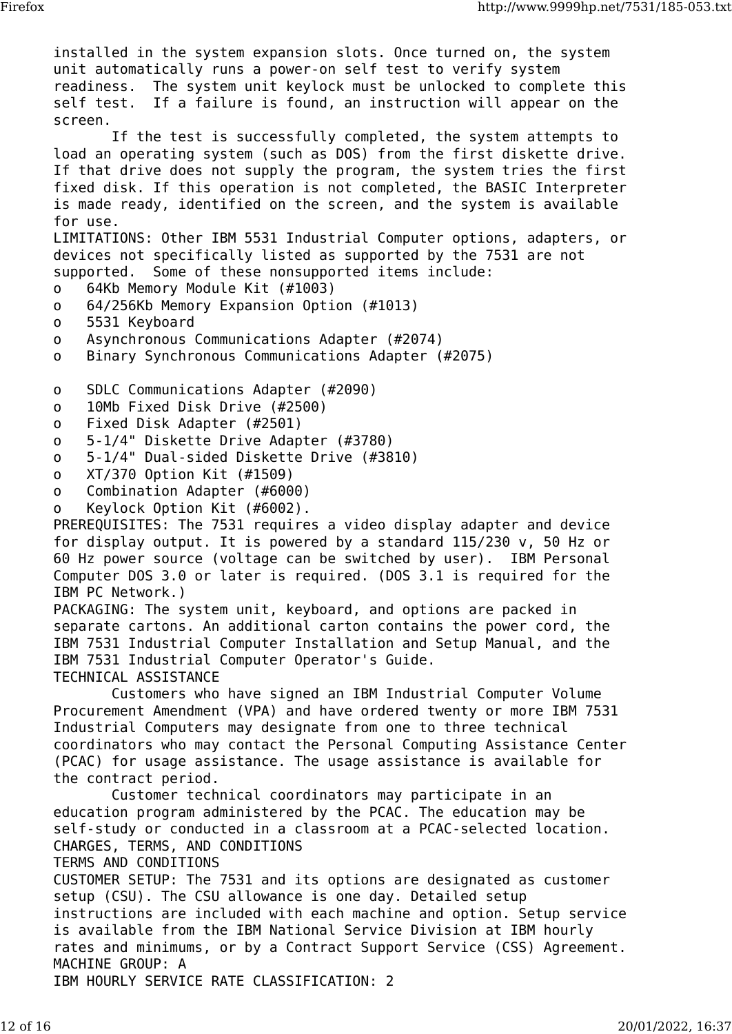installed in the system expansion slots. Once turned on, the system unit automatically runs a power-on self test to verify system readiness. The system unit keylock must be unlocked to complete this self test. If a failure is found, an instruction will appear on the screen. If the test is successfully completed, the system attempts to load an operating system (such as DOS) from the first diskette drive. If that drive does not supply the program, the system tries the first fixed disk. If this operation is not completed, the BASIC Interpreter is made ready, identified on the screen, and the system is available for use. LIMITATIONS: Other IBM 5531 Industrial Computer options, adapters, or devices not specifically listed as supported by the 7531 are not supported. Some of these nonsupported items include: o 64Kb Memory Module Kit (#1003) o 64/256Kb Memory Expansion Option (#1013) o 5531 Keyboard o Asynchronous Communications Adapter (#2074) o Binary Synchronous Communications Adapter (#2075) o SDLC Communications Adapter (#2090) o 10Mb Fixed Disk Drive (#2500) o Fixed Disk Adapter (#2501) o 5-1/4" Diskette Drive Adapter (#3780) o 5-1/4" Dual-sided Diskette Drive (#3810) o XT/370 Option Kit (#1509) o Combination Adapter (#6000) o Keylock Option Kit (#6002). PREREQUISITES: The 7531 requires a video display adapter and device for display output. It is powered by a standard 115/230 v, 50 Hz or 60 Hz power source (voltage can be switched by user). IBM Personal Computer DOS 3.0 or later is required. (DOS 3.1 is required for the IBM PC Network.) PACKAGING: The system unit, keyboard, and options are packed in separate cartons. An additional carton contains the power cord, the IBM 7531 Industrial Computer Installation and Setup Manual, and the IBM 7531 Industrial Computer Operator's Guide. TECHNICAL ASSISTANCE Customers who have signed an IBM Industrial Computer Volume Procurement Amendment (VPA) and have ordered twenty or more IBM 7531 Industrial Computers may designate from one to three technical coordinators who may contact the Personal Computing Assistance Center (PCAC) for usage assistance. The usage assistance is available for the contract period. Customer technical coordinators may participate in an education program administered by the PCAC. The education may be self-study or conducted in a classroom at a PCAC-selected location. CHARGES, TERMS, AND CONDITIONS TERMS AND CONDITIONS CUSTOMER SETUP: The 7531 and its options are designated as customer setup (CSU). The CSU allowance is one day. Detailed setup instructions are included with each machine and option. Setup service is available from the IBM National Service Division at IBM hourly rates and minimums, or by a Contract Support Service (CSS) Agreement. MACHINE GROUP: A IBM HOURLY SERVICE RATE CLASSIFICATION: 2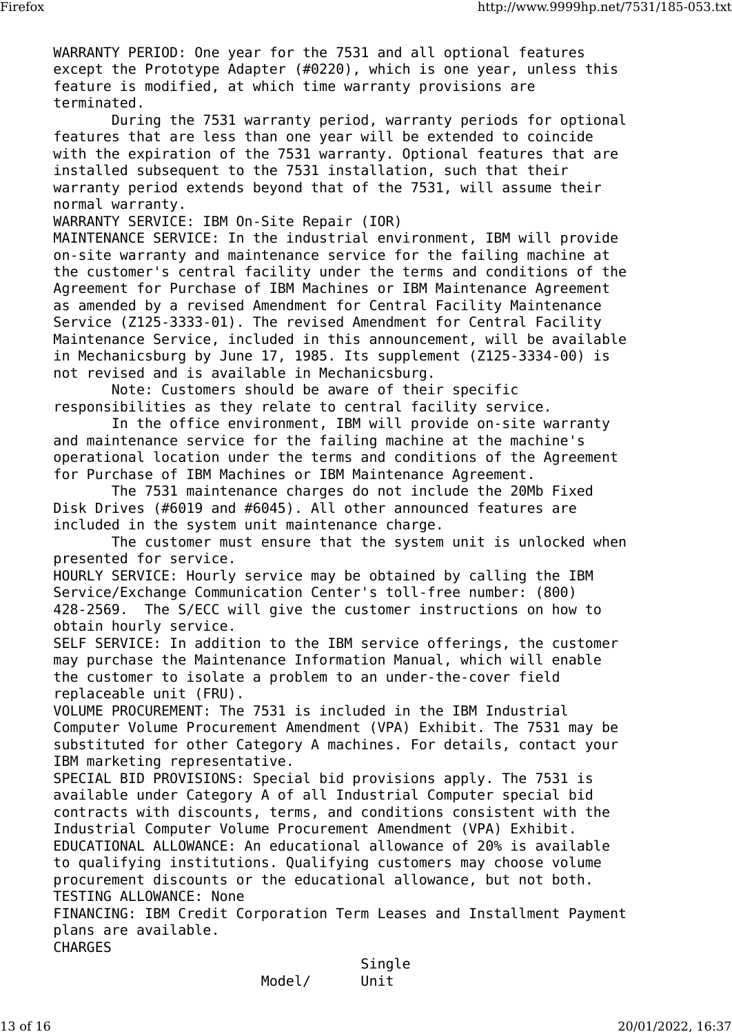WARRANTY PERIOD: One year for the 7531 and all optional features except the Prototype Adapter (#0220), which is one year, unless this feature is modified, at which time warranty provisions are terminated.

 During the 7531 warranty period, warranty periods for optional features that are less than one year will be extended to coincide with the expiration of the 7531 warranty. Optional features that are installed subsequent to the 7531 installation, such that their warranty period extends beyond that of the 7531, will assume their normal warranty.

WARRANTY SERVICE: IBM On-Site Repair (IOR)

MAINTENANCE SERVICE: In the industrial environment, IBM will provide on-site warranty and maintenance service for the failing machine at the customer's central facility under the terms and conditions of the Agreement for Purchase of IBM Machines or IBM Maintenance Agreement as amended by a revised Amendment for Central Facility Maintenance Service (Z125-3333-01). The revised Amendment for Central Facility Maintenance Service, included in this announcement, will be available in Mechanicsburg by June 17, 1985. Its supplement (Z125-3334-00) is not revised and is available in Mechanicsburg.

 Note: Customers should be aware of their specific responsibilities as they relate to central facility service.

 In the office environment, IBM will provide on-site warranty and maintenance service for the failing machine at the machine's operational location under the terms and conditions of the Agreement for Purchase of IBM Machines or IBM Maintenance Agreement.

 The 7531 maintenance charges do not include the 20Mb Fixed Disk Drives (#6019 and #6045). All other announced features are included in the system unit maintenance charge.

 The customer must ensure that the system unit is unlocked when presented for service.

HOURLY SERVICE: Hourly service may be obtained by calling the IBM Service/Exchange Communication Center's toll-free number: (800) 428-2569. The S/ECC will give the customer instructions on how to obtain hourly service.

SELF SERVICE: In addition to the IBM service offerings, the customer may purchase the Maintenance Information Manual, which will enable the customer to isolate a problem to an under-the-cover field replaceable unit (FRU).

VOLUME PROCUREMENT: The 7531 is included in the IBM Industrial Computer Volume Procurement Amendment (VPA) Exhibit. The 7531 may be substituted for other Category A machines. For details, contact your IBM marketing representative.

SPECIAL BID PROVISIONS: Special bid provisions apply. The 7531 is available under Category A of all Industrial Computer special bid contracts with discounts, terms, and conditions consistent with the Industrial Computer Volume Procurement Amendment (VPA) Exhibit. EDUCATIONAL ALLOWANCE: An educational allowance of 20% is available to qualifying institutions. Qualifying customers may choose volume procurement discounts or the educational allowance, but not both. TESTING ALLOWANCE: None

FINANCING: IBM Credit Corporation Term Leases and Installment Payment plans are available. CHARGES

|        | Single |
|--------|--------|
| Model/ | Unit   |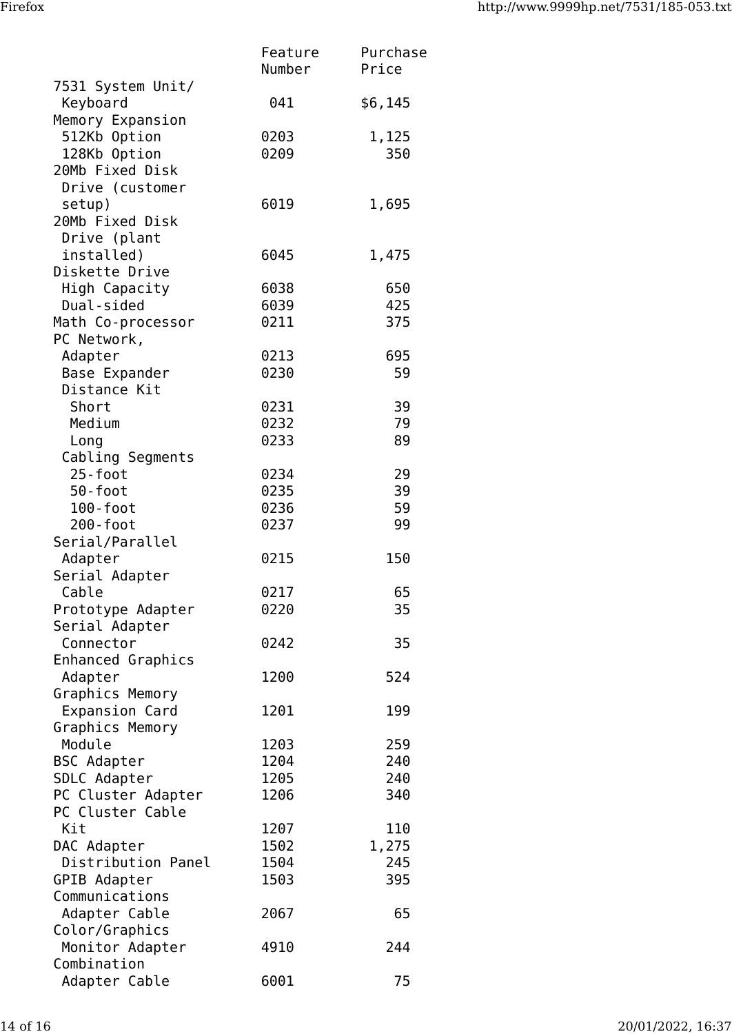|                                 | Feature<br>Number | Purchase<br>Price |
|---------------------------------|-------------------|-------------------|
| 7531 System Unit/               |                   |                   |
| Keyboard                        | 041               | \$6,145           |
| Memory Expansion                |                   |                   |
| 512Kb Option                    | 0203              | 1,125             |
| 128Kb Option                    | 0209              | 350               |
| 20Mb Fixed Disk                 |                   |                   |
| Drive (customer                 |                   |                   |
| setup)                          | 6019              | 1,695             |
| 20Mb Fixed Disk                 |                   |                   |
| Drive (plant                    |                   |                   |
| installed)                      | 6045              | 1,475             |
| Diskette Drive                  |                   |                   |
| High Capacity                   | 6038              | 650               |
| Dual-sided<br>Math Co-processor | 6039<br>0211      | 425<br>375        |
| PC Network,                     |                   |                   |
| Adapter                         | 0213              | 695               |
| Base Expander                   | 0230              | 59                |
| Distance Kit                    |                   |                   |
| Short                           | 0231              | 39                |
| Medium                          | 0232              | 79                |
| Long                            | 0233              | 89                |
| Cabling Segments                |                   |                   |
| 25-foot                         | 0234              | 29                |
| 50-foot                         | 0235              | 39                |
| 100-foot                        | 0236              | 59                |
| 200-foot                        | 0237              | 99                |
| Serial/Parallel                 |                   |                   |
| Adapter                         | 0215              | 150               |
| Serial Adapter                  |                   |                   |
| Cable                           | 0217              | 65                |
| Prototype Adapter               | 0220              | 35                |
| Serial Adapter                  |                   |                   |
| Connector                       | 0242              | 35                |
| Enhanced Graphics               |                   |                   |
| Adapter                         | 1200              | 524               |
| Graphics Memory                 |                   |                   |
| Expansion Card                  | 1201              | 199               |
| Graphics Memory                 |                   |                   |
| Module                          | 1203              | 259               |
| <b>BSC Adapter</b>              | 1204              | 240               |
| SDLC Adapter                    | 1205              | 240               |
| PC Cluster Adapter              | 1206              | 340               |
| PC Cluster Cable                |                   |                   |
| Kit                             | 1207              | 110               |
| DAC Adapter                     | 1502              | 1,275             |
| Distribution Panel              | 1504              | 245               |
| GPIB Adapter                    | 1503              | 395               |
| Communications                  |                   |                   |
| Adapter Cable                   | 2067              | 65                |
| Color/Graphics                  | 4910              | 244               |
| Monitor Adapter<br>Combination  |                   |                   |
| Adapter Cable                   | 6001              | 75                |
|                                 |                   |                   |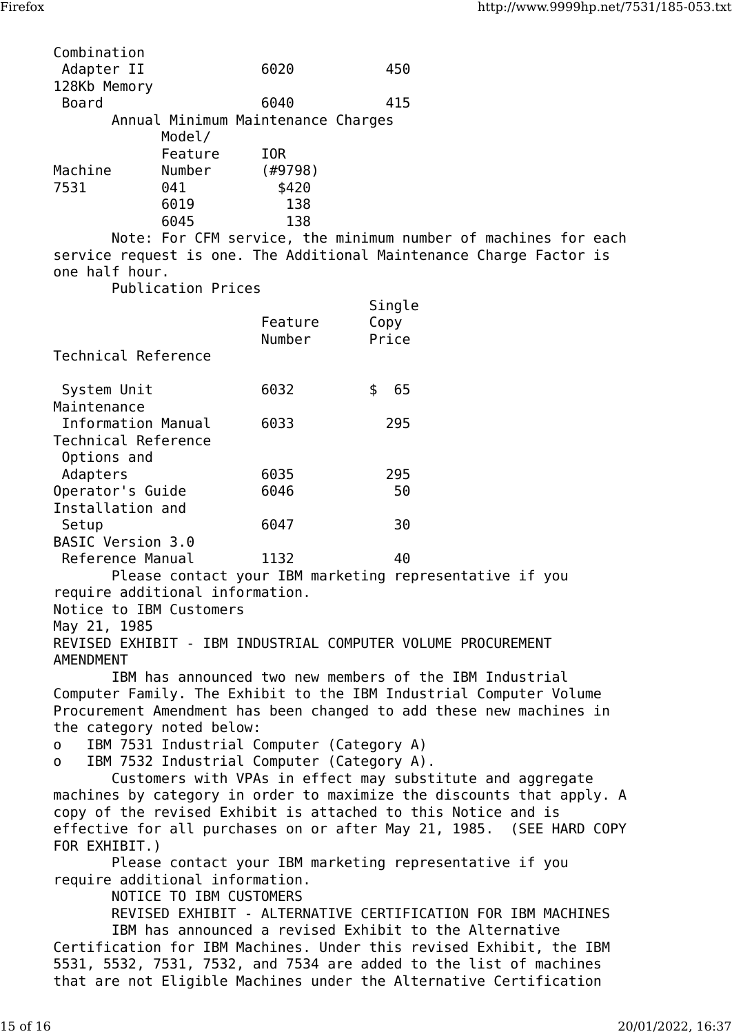| Combination<br>Adapter II |                                    | 6020    | 450 |
|---------------------------|------------------------------------|---------|-----|
| 128Kb Memory              |                                    |         |     |
| <b>Board</b>              |                                    | 6040    | 415 |
|                           | Annual Minimum Maintenance Charges |         |     |
|                           | Model/                             |         |     |
|                           | Feature                            | IOR     |     |
| Machine                   | Number                             | (#9798) |     |
| 7531                      | 041                                | \$420   |     |
|                           | 6019                               | 138     |     |
|                           | 6045                               | 138     |     |

 Note: For CFM service, the minimum number of machines for each service request is one. The Additional Maintenance Charge Factor is one half hour.

Publication Prices

| Technical Reference                | Feature<br>Number | Single<br>Copy<br>Price |  |
|------------------------------------|-------------------|-------------------------|--|
| System Unit                        | 6032              | 65<br>\$                |  |
| Maintenance                        |                   |                         |  |
| Information Manual                 | 6033              | 295                     |  |
| Technical Reference<br>Options and |                   |                         |  |
| Adapters                           | 6035              | 295                     |  |
| Operator's Guide                   | 6046              | 50                      |  |
| Installation and                   |                   |                         |  |
| Setup                              | 6047              | 30                      |  |
| BASIC Version 3.0                  |                   |                         |  |
| Reference Manual                   | 1132              | 40                      |  |
|                                    |                   |                         |  |

 Please contact your IBM marketing representative if you require additional information.

Notice to IBM Customers

May 21, 1985

REVISED EXHIBIT - IBM INDUSTRIAL COMPUTER VOLUME PROCUREMENT AMENDMENT

 IBM has announced two new members of the IBM Industrial Computer Family. The Exhibit to the IBM Industrial Computer Volume Procurement Amendment has been changed to add these new machines in the category noted below:

o IBM 7531 Industrial Computer (Category A)

o IBM 7532 Industrial Computer (Category A).

 Customers with VPAs in effect may substitute and aggregate machines by category in order to maximize the discounts that apply. A copy of the revised Exhibit is attached to this Notice and is effective for all purchases on or after May 21, 1985. (SEE HARD COPY FOR EXHIBIT.)

 Please contact your IBM marketing representative if you require additional information.

NOTICE TO IBM CUSTOMERS

 REVISED EXHIBIT - ALTERNATIVE CERTIFICATION FOR IBM MACHINES IBM has announced a revised Exhibit to the Alternative Certification for IBM Machines. Under this revised Exhibit, the IBM

5531, 5532, 7531, 7532, and 7534 are added to the list of machines that are not Eligible Machines under the Alternative Certification